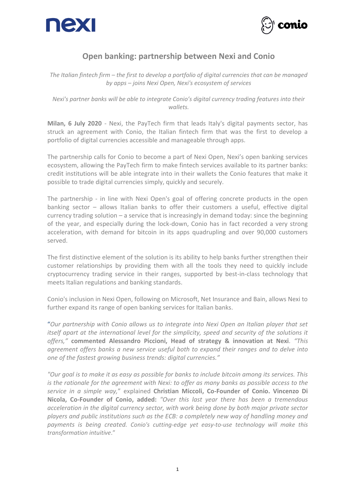



## **Open banking: partnership between Nexi and Conio**

*The Italian fintech firm – the first to develop a portfolio of digital currencies that can be managed by apps – joins Nexi Open, Nexi's ecosystem of services*

*Nexi's partner banks will be able to integrate Conio's digital currency trading features into their wallets.*

**Milan, 6 July 2020** - Nexi, the PayTech firm that leads Italy's digital payments sector, has struck an agreement with Conio, the Italian fintech firm that was the first to develop a portfolio of digital currencies accessible and manageable through apps.

The partnership calls for Conio to become a part of Nexi Open, Nexi's open banking services ecosystem, allowing the PayTech firm to make fintech services available to its partner banks: credit institutions will be able integrate into in their wallets the Conio features that make it possible to trade digital currencies simply, quickly and securely.

The partnership - in line with Nexi Open's goal of offering concrete products in the open banking sector – allows Italian banks to offer their customers a useful, effective digital currency trading solution – a service that is increasingly in demand today: since the beginning of the year, and especially during the lock-down, Conio has in fact recorded a very strong acceleration, with demand for bitcoin in its apps quadrupling and over 90,000 customers served.

The first distinctive element of the solution is its ability to help banks further strengthen their customer relationships by providing them with all the tools they need to quickly include cryptocurrency trading service in their ranges, supported by best-in-class technology that meets Italian regulations and banking standards.

Conio's inclusion in Nexi Open, following on Microsoft, Net Insurance and Bain, allows Nexi to further expand its range of open banking services for Italian banks.

"*Our partnership with Conio allows us to integrate into Nexi Open an Italian player that set itself apart at the international level for the simplicity, speed and security of the solutions it offers,"* **commented Alessandro Piccioni, Head of strategy & innovation at Nexi***. "This agreement offers banks a new service useful both to expand their ranges and to delve into one of the fastest growing business trends: digital currencies."*

*"Our goal is to make it as easy as possible for banks to include bitcoin among its services. This is the rationale for the agreement with Nexi: to offer as many banks as possible access to the service in a simple way,*" explained **Christian Miccoli, Co-Founder of Conio. Vincenzo Di Nicola, Co-Founder of Conio, added:** *"Over this last year there has been a tremendous acceleration in the digital currency sector, with work being done by both major private sector players and public institutions such as the ECB: a completely new way of handling money and payments is being created. Conio's cutting-edge yet easy-to-use technology will make this transformation intuitive*."